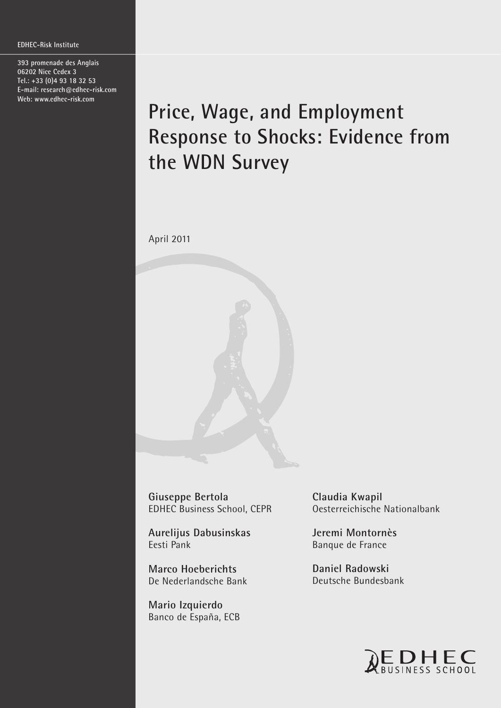**393 promenade des Anglais 06202 Nice Cedex 3 Tel.: +33 (0)4 93 18 32 53 E-mail: research@edhec-risk.com Web: www.edhec-risk.com**

# **Price, Wage, and Employment Response to Shocks: Evidence from the WDN Survey**

April 2011



**Giuseppe Bertola**  EDHEC Business School, CEPR

**Aurelijus Dabusinskas**  Eesti Pank

**Marco Hoeberichts**  De Nederlandsche Bank

**Mario Izquierdo**  Banco de España, ECB **Claudia Kwapil**  Oesterreichische Nationalbank

**Jeremi Montornès**  Banque de France

**Daniel Radowski**  Deutsche Bundesbank

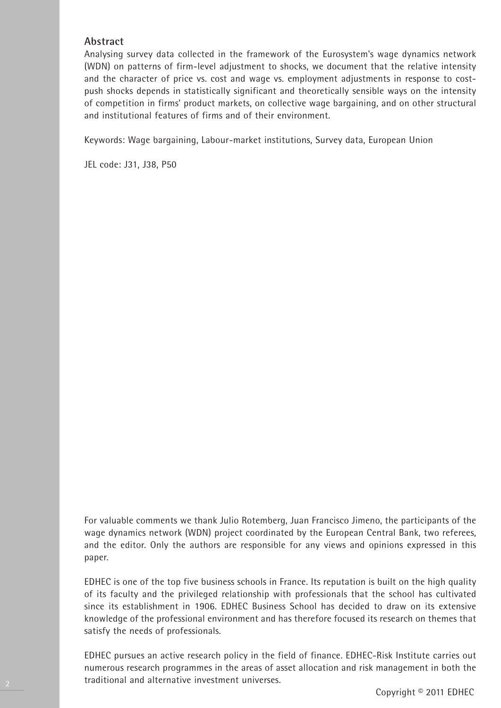## **Abstract**

Analysing survey data collected in the framework of the Eurosystem's wage dynamics network (WDN) on patterns of firm-level adjustment to shocks, we document that the relative intensity and the character of price vs. cost and wage vs. employment adjustments in response to costpush shocks depends in statistically significant and theoretically sensible ways on the intensity of competition in firms' product markets, on collective wage bargaining, and on other structural and institutional features of firms and of their environment.

Keywords: Wage bargaining, Labour-market institutions, Survey data, European Union

JEL code: J31, J38, P50

For valuable comments we thank Julio Rotemberg, Juan Francisco Jimeno, the participants of the wage dynamics network (WDN) project coordinated by the European Central Bank, two referees, and the editor. Only the authors are responsible for any views and opinions expressed in this paper.

EDHEC is one of the top five business schools in France. Its reputation is built on the high quality of its faculty and the privileged relationship with professionals that the school has cultivated since its establishment in 1906. EDHEC Business School has decided to draw on its extensive knowledge of the professional environment and has therefore focused its research on themes that satisfy the needs of professionals.

EDHEC pursues an active research policy in the field of finance. EDHEC-Risk Institute carries out numerous research programmes in the areas of asset allocation and risk management in both the traditional and alternative investment universes.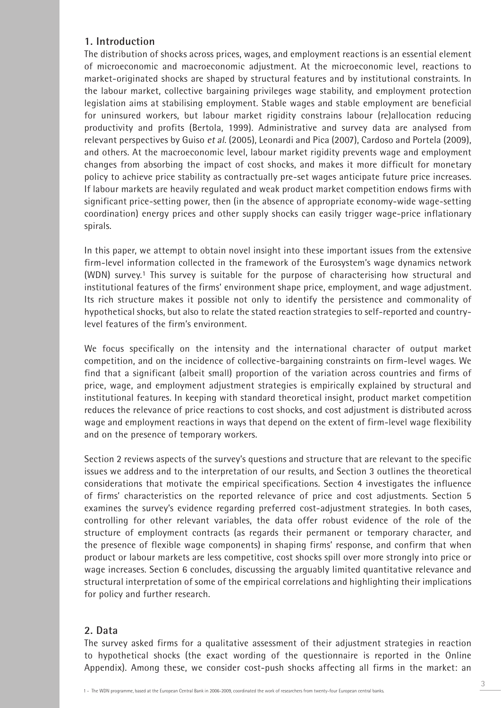# **1. Introduction**

The distribution of shocks across prices, wages, and employment reactions is an essential element of microeconomic and macroeconomic adjustment. At the microeconomic level, reactions to market-originated shocks are shaped by structural features and by institutional constraints. In the labour market, collective bargaining privileges wage stability, and employment protection legislation aims at stabilising employment. Stable wages and stable employment are beneficial for uninsured workers, but labour market rigidity constrains labour (re)allocation reducing productivity and profits (Bertola, 1999). Administrative and survey data are analysed from relevant perspectives by Guiso et al. (2005), Leonardi and Pica (2007), Cardoso and Portela (2009), and others. At the macroeconomic level, labour market rigidity prevents wage and employment changes from absorbing the impact of cost shocks, and makes it more difficult for monetary policy to achieve price stability as contractually pre-set wages anticipate future price increases. If labour markets are heavily regulated and weak product market competition endows firms with significant price-setting power, then (in the absence of appropriate economy-wide wage-setting coordination) energy prices and other supply shocks can easily trigger wage-price inflationary spirals.

In this paper, we attempt to obtain novel insight into these important issues from the extensive firm-level information collected in the framework of the Eurosystem's wage dynamics network (WDN) survey.1 This survey is suitable for the purpose of characterising how structural and institutional features of the firms' environment shape price, employment, and wage adjustment. Its rich structure makes it possible not only to identify the persistence and commonality of hypothetical shocks, but also to relate the stated reaction strategies to self-reported and countrylevel features of the firm's environment.

We focus specifically on the intensity and the international character of output market competition, and on the incidence of collective-bargaining constraints on firm-level wages. We find that a significant (albeit small) proportion of the variation across countries and firms of price, wage, and employment adjustment strategies is empirically explained by structural and institutional features. In keeping with standard theoretical insight, product market competition reduces the relevance of price reactions to cost shocks, and cost adjustment is distributed across wage and employment reactions in ways that depend on the extent of firm-level wage flexibility and on the presence of temporary workers.

Section 2 reviews aspects of the survey's questions and structure that are relevant to the specific issues we address and to the interpretation of our results, and Section 3 outlines the theoretical considerations that motivate the empirical specifications. Section 4 investigates the influence of firms' characteristics on the reported relevance of price and cost adjustments. Section 5 examines the survey's evidence regarding preferred cost-adjustment strategies. In both cases, controlling for other relevant variables, the data offer robust evidence of the role of the structure of employment contracts (as regards their permanent or temporary character, and the presence of flexible wage components) in shaping firms' response, and confirm that when product or labour markets are less competitive, cost shocks spill over more strongly into price or wage increases. Section 6 concludes, discussing the arguably limited quantitative relevance and structural interpretation of some of the empirical correlations and highlighting their implications for policy and further research.

### **2. Data**

The survey asked firms for a qualitative assessment of their adjustment strategies in reaction to hypothetical shocks (the exact wording of the questionnaire is reported in the Online Appendix). Among these, we consider cost-push shocks affecting all firms in the market: an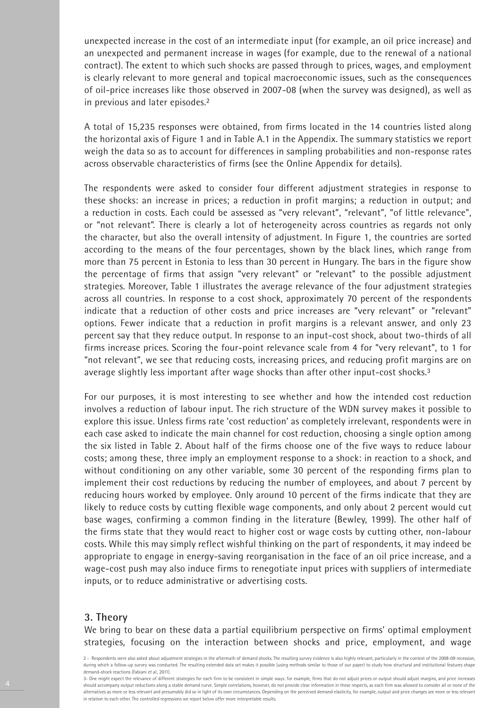unexpected increase in the cost of an intermediate input (for example, an oil price increase) and an unexpected and permanent increase in wages (for example, due to the renewal of a national contract). The extent to which such shocks are passed through to prices, wages, and employment is clearly relevant to more general and topical macroeconomic issues, such as the consequences of oil-price increases like those observed in 2007-08 (when the survey was designed), as well as in previous and later episodes.2

A total of 15,235 responses were obtained, from firms located in the 14 countries listed along the horizontal axis of Figure 1 and in Table A.1 in the Appendix. The summary statistics we report weigh the data so as to account for differences in sampling probabilities and non-response rates across observable characteristics of firms (see the Online Appendix for details).

The respondents were asked to consider four different adjustment strategies in response to these shocks: an increase in prices; a reduction in profit margins; a reduction in output; and a reduction in costs. Each could be assessed as "very relevant", "relevant", "of little relevance", or "not relevant". There is clearly a lot of heterogeneity across countries as regards not only the character, but also the overall intensity of adjustment. In Figure 1, the countries are sorted according to the means of the four percentages, shown by the black lines, which range from more than 75 percent in Estonia to less than 30 percent in Hungary. The bars in the figure show the percentage of firms that assign "very relevant" or "relevant" to the possible adjustment strategies. Moreover, Table 1 illustrates the average relevance of the four adjustment strategies across all countries. In response to a cost shock, approximately 70 percent of the respondents indicate that a reduction of other costs and price increases are "very relevant" or "relevant" options. Fewer indicate that a reduction in profit margins is a relevant answer, and only 23 percent say that they reduce output. In response to an input-cost shock, about two-thirds of all firms increase prices. Scoring the four-point relevance scale from 4 for "very relevant", to 1 for "not relevant", we see that reducing costs, increasing prices, and reducing profit margins are on average slightly less important after wage shocks than after other input-cost shocks.3

For our purposes, it is most interesting to see whether and how the intended cost reduction involves a reduction of labour input. The rich structure of the WDN survey makes it possible to explore this issue. Unless firms rate 'cost reduction' as completely irrelevant, respondents were in each case asked to indicate the main channel for cost reduction, choosing a single option among the six listed in Table 2. About half of the firms choose one of the five ways to reduce labour costs; among these, three imply an employment response to a shock: in reaction to a shock, and without conditioning on any other variable, some 30 percent of the responding firms plan to implement their cost reductions by reducing the number of employees, and about 7 percent by reducing hours worked by employee. Only around 10 percent of the firms indicate that they are likely to reduce costs by cutting flexible wage components, and only about 2 percent would cut base wages, confirming a common finding in the literature (Bewley, 1999). The other half of the firms state that they would react to higher cost or wage costs by cutting other, non-labour costs. While this may simply reflect wishful thinking on the part of respondents, it may indeed be appropriate to engage in energy-saving reorganisation in the face of an oil price increase, and a wage-cost push may also induce firms to renegotiate input prices with suppliers of intermediate inputs, or to reduce administrative or advertising costs.

## **3. Theory**

We bring to bear on these data a partial equilibrium perspective on firms' optimal employment strategies, focusing on the interaction between shocks and price, employment, and wage

<sup>2 -</sup> Respondents were also asked about adjustment strategies in the aftermath of demand shocks. The resulting survey evidence is also highly relevant, particularly in the context of the 2008-09 recession, during which a follow-up survey was conducted. The resulting extended data set makes it possible (using methods similar to those of our paper) to study how structural and institutional features shape demand-shock reactions (Fabiani et al., 2011).

<sup>3-</sup> One might expect the relevance of different strategies for each firm to be consistent in simple ways: for example, firms that do not adjust prices or output should adjust margins, and price increases should accompany output reductions along a stable demand curve. Simple correlations, however, do not provide clear information in these respects, as each firm was allowed to consider all or none of the alternatives as more or less relevant and presumably did so in light of its own circumstances. Depending on the perceived demand elasticity, for example, output and price changes are more or less relevant in relation to each other. The controlled regressions we report below offer more interpretable results.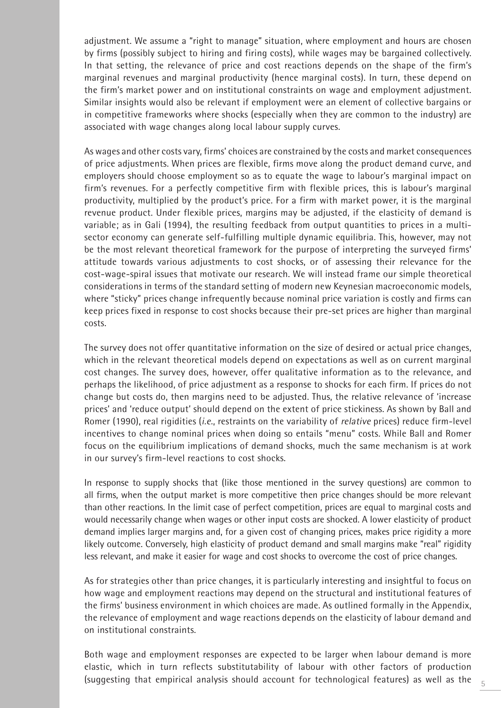adjustment. We assume a "right to manage" situation, where employment and hours are chosen by firms (possibly subject to hiring and firing costs), while wages may be bargained collectively. In that setting, the relevance of price and cost reactions depends on the shape of the firm's marginal revenues and marginal productivity (hence marginal costs). In turn, these depend on the firm's market power and on institutional constraints on wage and employment adjustment. Similar insights would also be relevant if employment were an element of collective bargains or in competitive frameworks where shocks (especially when they are common to the industry) are associated with wage changes along local labour supply curves.

As wages and other costs vary, firms' choices are constrained by the costs and market consequences of price adjustments. When prices are flexible, firms move along the product demand curve, and employers should choose employment so as to equate the wage to labour's marginal impact on firm's revenues. For a perfectly competitive firm with flexible prices, this is labour's marginal productivity, multiplied by the product's price. For a firm with market power, it is the marginal revenue product. Under flexible prices, margins may be adjusted, if the elasticity of demand is variable; as in Gali (1994), the resulting feedback from output quantities to prices in a multisector economy can generate self-fulfilling multiple dynamic equilibria. This, however, may not be the most relevant theoretical framework for the purpose of interpreting the surveyed firms' attitude towards various adjustments to cost shocks, or of assessing their relevance for the cost-wage-spiral issues that motivate our research. We will instead frame our simple theoretical considerations in terms of the standard setting of modern new Keynesian macroeconomic models, where "sticky" prices change infrequently because nominal price variation is costly and firms can keep prices fixed in response to cost shocks because their pre-set prices are higher than marginal costs.

The survey does not offer quantitative information on the size of desired or actual price changes, which in the relevant theoretical models depend on expectations as well as on current marginal cost changes. The survey does, however, offer qualitative information as to the relevance, and perhaps the likelihood, of price adjustment as a response to shocks for each firm. If prices do not change but costs do, then margins need to be adjusted. Thus, the relative relevance of 'increase prices' and 'reduce output' should depend on the extent of price stickiness. As shown by Ball and Romer (1990), real rigidities (i.e., restraints on the variability of relative prices) reduce firm-level incentives to change nominal prices when doing so entails "menu" costs. While Ball and Romer focus on the equilibrium implications of demand shocks, much the same mechanism is at work in our survey's firm-level reactions to cost shocks.

In response to supply shocks that (like those mentioned in the survey questions) are common to all firms, when the output market is more competitive then price changes should be more relevant than other reactions. In the limit case of perfect competition, prices are equal to marginal costs and would necessarily change when wages or other input costs are shocked. A lower elasticity of product demand implies larger margins and, for a given cost of changing prices, makes price rigidity a more likely outcome. Conversely, high elasticity of product demand and small margins make "real" rigidity less relevant, and make it easier for wage and cost shocks to overcome the cost of price changes.

As for strategies other than price changes, it is particularly interesting and insightful to focus on how wage and employment reactions may depend on the structural and institutional features of the firms' business environment in which choices are made. As outlined formally in the Appendix, the relevance of employment and wage reactions depends on the elasticity of labour demand and on institutional constraints.

Both wage and employment responses are expected to be larger when labour demand is more elastic, which in turn reflects substitutability of labour with other factors of production (suggesting that empirical analysis should account for technological features) as well as the  $5\over{5}$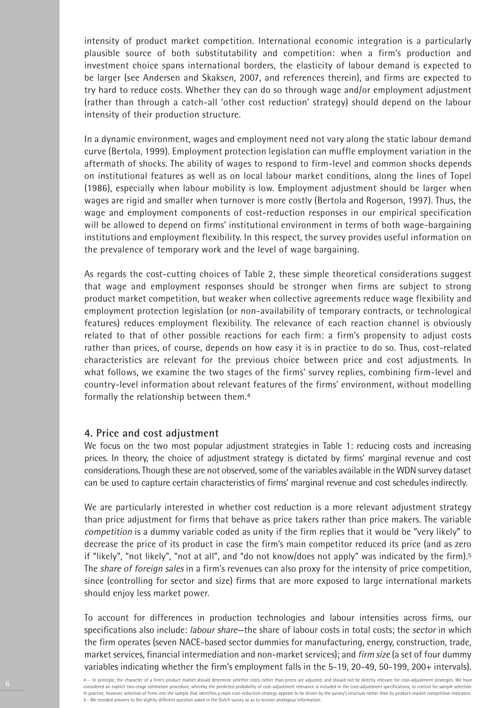intensity of product market competition. International economic integration is a particularly plausible source of both substitutability and competition: when a firm's production and investment choice spans international borders, the elasticity of labour demand is expected to be larger (see Andersen and Skaksen, 2007, and references therein), and firms are expected to try hard to reduce costs. Whether they can do so through wage and/or employment adjustment (rather than through a catch-all 'other cost reduction' strategy) should depend on the labour intensity of their production structure.

In a dynamic environment, wages and employment need not vary along the static labour demand curve (Bertola, 1999). Employment protection legislation can muffle employment variation in the aftermath of shocks. The ability of wages to respond to firm-level and common shocks depends on institutional features as well as on local labour market conditions, along the lines of Topel (1986), especially when labour mobility is low. Employment adjustment should be larger when wages are rigid and smaller when turnover is more costly (Bertola and Rogerson, 1997). Thus, the wage and employment components of cost-reduction responses in our empirical specification will be allowed to depend on firms' institutional environment in terms of both wage-bargaining institutions and employment flexibility. In this respect, the survey provides useful information on the prevalence of temporary work and the level of wage bargaining.

As regards the cost-cutting choices of Table 2, these simple theoretical considerations suggest that wage and employment responses should be stronger when firms are subject to strong product market competition, but weaker when collective agreements reduce wage flexibility and employment protection legislation (or non-availability of temporary contracts, or technological features) reduces employment flexibility. The relevance of each reaction channel is obviously related to that of other possible reactions for each firm: a firm's propensity to adjust costs rather than prices, of course, depends on how easy it is in practice to do so. Thus, cost-related characteristics are relevant for the previous choice between price and cost adjustments. In what follows, we examine the two stages of the firms' survey replies, combining firm-level and country-level information about relevant features of the firms' environment, without modelling formally the relationship between them.4

### **4. Price and cost adjustment**

We focus on the two most popular adjustment strategies in Table 1: reducing costs and increasing prices. In theory, the choice of adjustment strategy is dictated by firms' marginal revenue and cost considerations. Though these are not observed, some of the variables available in the WDN survey dataset can be used to capture certain characteristics of firms' marginal revenue and cost schedules indirectly.

We are particularly interested in whether cost reduction is a more relevant adjustment strategy than price adjustment for firms that behave as price takers rather than price makers. The variable competition is a dummy variable coded as unity if the firm replies that it would be "very likely" to decrease the price of its product in case the firm's main competitor reduced its price (and as zero if "likely", "not likely", "not at all", and "do not know/does not apply" was indicated by the firm).5 The *share of foreign sales* in a firm's revenues can also proxy for the intensity of price competition, since (controlling for sector and size) firms that are more exposed to large international markets should enjoy less market power.

To account for differences in production technologies and labour intensities across firms, our specifications also include: *labour share*—the share of labour costs in total costs; the sector in which the firm operates (seven NACE-based sector dummies for manufacturing, energy, construction, trade, market services, financial intermediation and non-market services); and firm size (a set of four dummy variables indicating whether the firm's employment falls in the 5-19, 20-49, 50-199, 200+ intervals).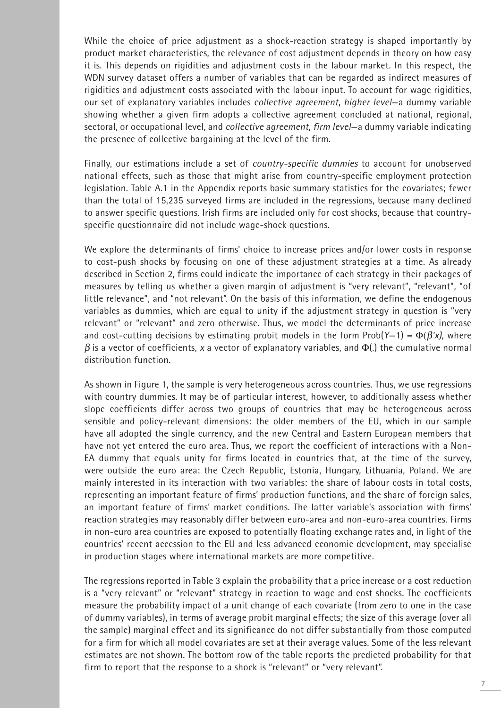While the choice of price adjustment as a shock-reaction strategy is shaped importantly by product market characteristics, the relevance of cost adjustment depends in theory on how easy it is. This depends on rigidities and adjustment costs in the labour market. In this respect, the WDN survey dataset offers a number of variables that can be regarded as indirect measures of rigidities and adjustment costs associated with the labour input. To account for wage rigidities, our set of explanatory variables includes collective agreement, higher level—a dummy variable showing whether a given firm adopts a collective agreement concluded at national, regional, sectoral, or occupational level, and collective agreement, firm level—a dummy variable indicating the presence of collective bargaining at the level of the firm.

Finally, our estimations include a set of country-specific dummies to account for unobserved national effects, such as those that might arise from country-specific employment protection legislation. Table A.1 in the Appendix reports basic summary statistics for the covariates; fewer than the total of 15,235 surveyed firms are included in the regressions, because many declined to answer specific questions. Irish firms are included only for cost shocks, because that countryspecific questionnaire did not include wage-shock questions.

We explore the determinants of firms' choice to increase prices and/or lower costs in response to cost-push shocks by focusing on one of these adjustment strategies at a time. As already described in Section 2, firms could indicate the importance of each strategy in their packages of measures by telling us whether a given margin of adjustment is "very relevant", "relevant", "of little relevance", and "not relevant". On the basis of this information, we define the endogenous variables as dummies, which are equal to unity if the adjustment strategy in question is "very relevant" or "relevant" and zero otherwise. Thus, we model the determinants of price increase and cost-cutting decisions by estimating probit models in the form  $Prob(Y-1) = \Phi(\beta'x)$ , where  $β$  is a vector of coefficients, x a vector of explanatory variables, and Φ(.) the cumulative normal distribution function.

As shown in Figure 1, the sample is very heterogeneous across countries. Thus, we use regressions with country dummies. It may be of particular interest, however, to additionally assess whether slope coefficients differ across two groups of countries that may be heterogeneous across sensible and policy-relevant dimensions: the older members of the EU, which in our sample have all adopted the single currency, and the new Central and Eastern European members that have not yet entered the euro area. Thus, we report the coefficient of interactions with a Non-EA dummy that equals unity for firms located in countries that, at the time of the survey, were outside the euro area: the Czech Republic, Estonia, Hungary, Lithuania, Poland. We are mainly interested in its interaction with two variables: the share of labour costs in total costs, representing an important feature of firms' production functions, and the share of foreign sales, an important feature of firms' market conditions. The latter variable's association with firms' reaction strategies may reasonably differ between euro-area and non-euro-area countries. Firms in non-euro area countries are exposed to potentially floating exchange rates and, in light of the countries' recent accession to the EU and less advanced economic development, may specialise in production stages where international markets are more competitive.

The regressions reported in Table 3 explain the probability that a price increase or a cost reduction is a "very relevant" or "relevant" strategy in reaction to wage and cost shocks. The coefficients measure the probability impact of a unit change of each covariate (from zero to one in the case of dummy variables), in terms of average probit marginal effects; the size of this average (over all the sample) marginal effect and its significance do not differ substantially from those computed for a firm for which all model covariates are set at their average values. Some of the less relevant estimates are not shown. The bottom row of the table reports the predicted probability for that firm to report that the response to a shock is "relevant" or "very relevant".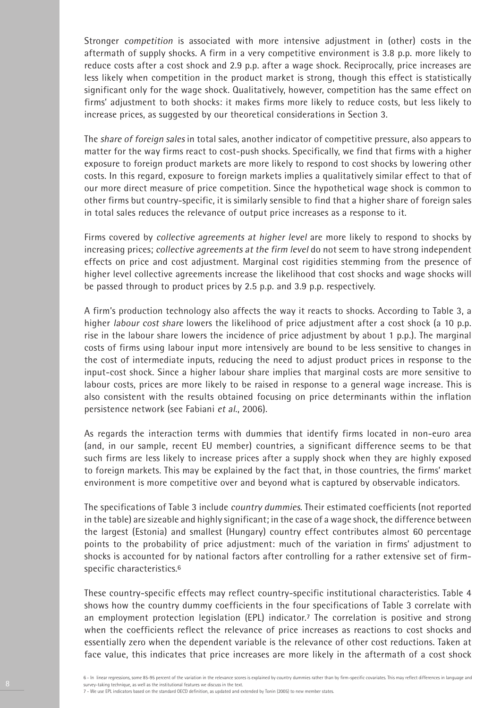Stronger competition is associated with more intensive adjustment in (other) costs in the aftermath of supply shocks. A firm in a very competitive environment is 3.8 p.p. more likely to reduce costs after a cost shock and 2.9 p.p. after a wage shock. Reciprocally, price increases are less likely when competition in the product market is strong, though this effect is statistically significant only for the wage shock. Qualitatively, however, competition has the same effect on firms' adjustment to both shocks: it makes firms more likely to reduce costs, but less likely to increase prices, as suggested by our theoretical considerations in Section 3.

The share of foreign sales in total sales, another indicator of competitive pressure, also appears to matter for the way firms react to cost-push shocks. Specifically, we find that firms with a higher exposure to foreign product markets are more likely to respond to cost shocks by lowering other costs. In this regard, exposure to foreign markets implies a qualitatively similar effect to that of our more direct measure of price competition. Since the hypothetical wage shock is common to other firms but country-specific, it is similarly sensible to find that a higher share of foreign sales in total sales reduces the relevance of output price increases as a response to it.

Firms covered by collective agreements at higher level are more likely to respond to shocks by increasing prices; collective agreements at the firm level do not seem to have strong independent effects on price and cost adjustment. Marginal cost rigidities stemming from the presence of higher level collective agreements increase the likelihood that cost shocks and wage shocks will be passed through to product prices by 2.5 p.p. and 3.9 p.p. respectively.

A firm's production technology also affects the way it reacts to shocks. According to Table 3, a higher *labour cost share* lowers the likelihood of price adjustment after a cost shock (a 10 p.p. rise in the labour share lowers the incidence of price adjustment by about 1 p.p.). The marginal costs of firms using labour input more intensively are bound to be less sensitive to changes in the cost of intermediate inputs, reducing the need to adjust product prices in response to the input-cost shock. Since a higher labour share implies that marginal costs are more sensitive to labour costs, prices are more likely to be raised in response to a general wage increase. This is also consistent with the results obtained focusing on price determinants within the inflation persistence network (see Fabiani et al., 2006).

As regards the interaction terms with dummies that identify firms located in non-euro area (and, in our sample, recent EU member) countries, a significant difference seems to be that such firms are less likely to increase prices after a supply shock when they are highly exposed to foreign markets. This may be explained by the fact that, in those countries, the firms' market environment is more competitive over and beyond what is captured by observable indicators.

The specifications of Table 3 include country dummies. Their estimated coefficients (not reported in the table) are sizeable and highly significant; in the case of a wage shock, the difference between the largest (Estonia) and smallest (Hungary) country effect contributes almost 60 percentage points to the probability of price adjustment: much of the variation in firms' adjustment to shocks is accounted for by national factors after controlling for a rather extensive set of firmspecific characteristics.6

These country-specific effects may reflect country-specific institutional characteristics. Table 4 shows how the country dummy coefficients in the four specifications of Table 3 correlate with an employment protection legislation (EPL) indicator.7 The correlation is positive and strong when the coefficients reflect the relevance of price increases as reactions to cost shocks and essentially zero when the dependent variable is the relevance of other cost reductions. Taken at face value, this indicates that price increases are more likely in the aftermath of a cost shock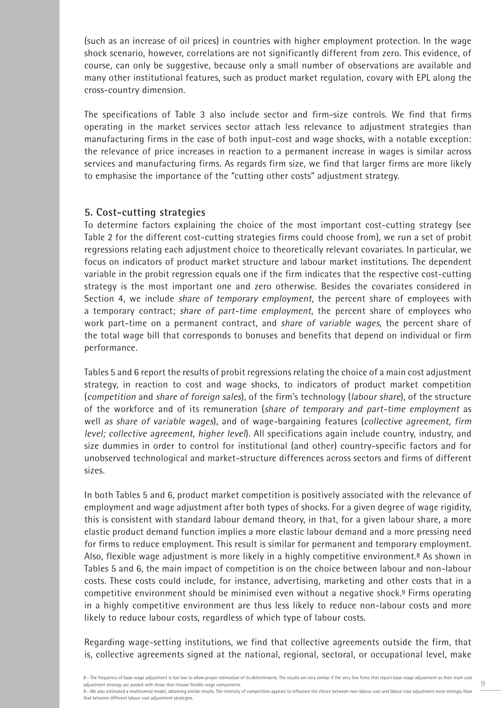(such as an increase of oil prices) in countries with higher employment protection. In the wage shock scenario, however, correlations are not significantly different from zero. This evidence, of course, can only be suggestive, because only a small number of observations are available and many other institutional features, such as product market regulation, covary with EPL along the cross-country dimension.

The specifications of Table 3 also include sector and firm-size controls. We find that firms operating in the market services sector attach less relevance to adjustment strategies than manufacturing firms in the case of both input-cost and wage shocks, with a notable exception: the relevance of price increases in reaction to a permanent increase in wages is similar across services and manufacturing firms. As regards firm size, we find that larger firms are more likely to emphasise the importance of the "cutting other costs" adjustment strategy.

## **5. Cost-cutting strategies**

that between different labour cost adjustment strategies.

To determine factors explaining the choice of the most important cost-cutting strategy (see Table 2 for the different cost-cutting strategies firms could choose from), we run a set of probit regressions relating each adjustment choice to theoretically relevant covariates. In particular, we focus on indicators of product market structure and labour market institutions. The dependent variable in the probit regression equals one if the firm indicates that the respective cost-cutting strategy is the most important one and zero otherwise. Besides the covariates considered in Section 4, we include share of temporary employment, the percent share of employees with a temporary contract; share of part-time employment, the percent share of employees who work part-time on a permanent contract, and share of variable wages, the percent share of the total wage bill that corresponds to bonuses and benefits that depend on individual or firm performance.

Tables 5 and 6 report the results of probit regressions relating the choice of a main cost adjustment strategy, in reaction to cost and wage shocks, to indicators of product market competition (competition and share of foreign sales), of the firm's technology (labour share), of the structure of the workforce and of its remuneration (share of temporary and part-time employment as well as share of variable wages), and of wage-bargaining features (collective agreement, firm level; collective agreement, higher level). All specifications again include country, industry, and size dummies in order to control for institutional (and other) country-specific factors and for unobserved technological and market-structure differences across sectors and firms of different sizes.

In both Tables 5 and 6, product market competition is positively associated with the relevance of employment and wage adjustment after both types of shocks. For a given degree of wage rigidity, this is consistent with standard labour demand theory, in that, for a given labour share, a more elastic product demand function implies a more elastic labour demand and a more pressing need for firms to reduce employment. This result is similar for permanent and temporary employment. Also, flexible wage adjustment is more likely in a highly competitive environment.8 As shown in Tables 5 and 6, the main impact of competition is on the choice between labour and non-labour costs. These costs could include, for instance, advertising, marketing and other costs that in a competitive environment should be minimised even without a negative shock.9 Firms operating in a highly competitive environment are thus less likely to reduce non-labour costs and more likely to reduce labour costs, regardless of which type of labour costs.

Regarding wage-setting institutions, we find that collective agreements outside the firm, that is, collective agreements signed at the national, regional, sectoral, or occupational level, make

9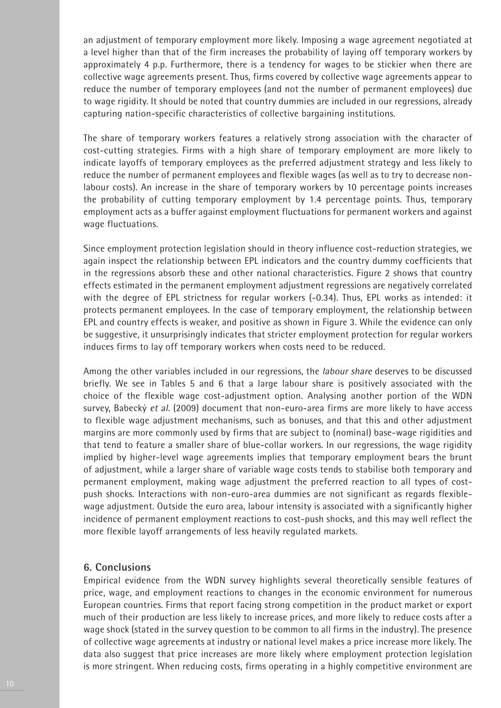an adjustment of temporary employment more likely. Imposing a wage agreement negotiated at a level higher than that of the firm increases the probability of laying off temporary workers by approximately 4 p.p. Furthermore, there is a tendency for wages to be stickier when there are collective wage agreements present. Thus, firms covered by collective wage agreements appear to reduce the number of temporary employees (and not the number of permanent employees) due to wage rigidity. It should be noted that country dummies are included in our regressions, already capturing nation-specific characteristics of collective bargaining institutions.

The share of temporary workers features a relatively strong association with the character of cost-cutting strategies. Firms with a high share of temporary employment are more likely to indicate layoffs of temporary employees as the preferred adjustment strategy and less likely to reduce the number of permanent employees and flexible wages (as well as to try to decrease nonlabour costs). An increase in the share of temporary workers by 10 percentage points increases the probability of cutting temporary employment by 1.4 percentage points. Thus, temporary employment acts as a buffer against employment fluctuations for permanent workers and against wage fluctuations.

Since employment protection legislation should in theory influence cost-reduction strategies, we again inspect the relationship between EPL indicators and the country dummy coefficients that in the regressions absorb these and other national characteristics. Figure 2 shows that country effects estimated in the permanent employment adjustment regressions are negatively correlated with the degree of EPL strictness for regular workers (-0.34). Thus, EPL works as intended: it protects permanent employees. In the case of temporary employment, the relationship between EPL and country effects is weaker, and positive as shown in Figure 3. While the evidence can only be suggestive, it unsurprisingly indicates that stricter employment protection for regular workers induces firms to lay off temporary workers when costs need to be reduced.

Among the other variables included in our regressions, the labour share deserves to be discussed briefly. We see in Tables 5 and 6 that a large labour share is positively associated with the choice of the flexible wage cost-adjustment option. Analysing another portion of the WDN survey, Babecký et al. (2009) document that non-euro-area firms are more likely to have access to flexible wage adjustment mechanisms, such as bonuses, and that this and other adjustment margins are more commonly used by firms that are subject to (nominal) base-wage rigidities and that tend to feature a smaller share of blue-collar workers. In our regressions, the wage rigidity implied by higher-level wage agreements implies that temporary employment bears the brunt of adjustment, while a larger share of variable wage costs tends to stabilise both temporary and permanent employment, making wage adjustment the preferred reaction to all types of costpush shocks. Interactions with non-euro-area dummies are not significant as regards flexiblewage adjustment. Outside the euro area, labour intensity is associated with a significantly higher incidence of permanent employment reactions to cost-push shocks, and this may well reflect the more flexible layoff arrangements of less heavily regulated markets.

## **6. Conclusions**

Empirical evidence from the WDN survey highlights several theoretically sensible features of price, wage, and employment reactions to changes in the economic environment for numerous European countries. Firms that report facing strong competition in the product market or export much of their production are less likely to increase prices, and more likely to reduce costs after a wage shock (stated in the survey question to be common to all firms in the industry). The presence of collective wage agreements at industry or national level makes a price increase more likely. The data also suggest that price increases are more likely where employment protection legislation is more stringent. When reducing costs, firms operating in a highly competitive environment are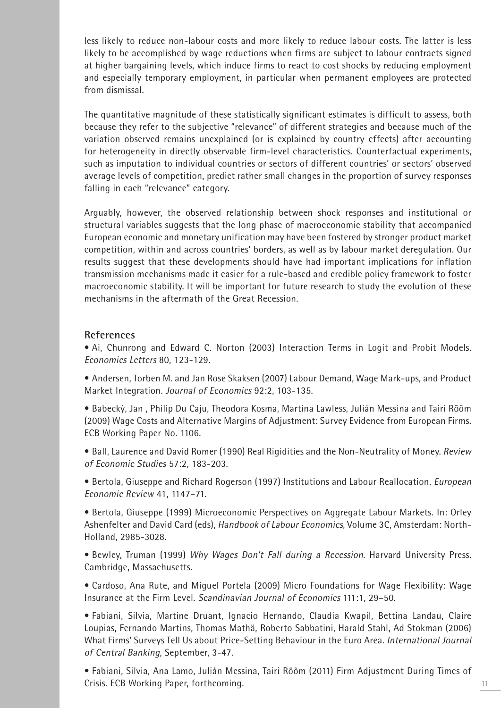less likely to reduce non-labour costs and more likely to reduce labour costs. The latter is less likely to be accomplished by wage reductions when firms are subject to labour contracts signed at higher bargaining levels, which induce firms to react to cost shocks by reducing employment and especially temporary employment, in particular when permanent employees are protected from dismissal.

The quantitative magnitude of these statistically significant estimates is difficult to assess, both because they refer to the subjective "relevance" of different strategies and because much of the variation observed remains unexplained (or is explained by country effects) after accounting for heterogeneity in directly observable firm-level characteristics. Counterfactual experiments, such as imputation to individual countries or sectors of different countries' or sectors' observed average levels of competition, predict rather small changes in the proportion of survey responses falling in each "relevance" category.

Arguably, however, the observed relationship between shock responses and institutional or structural variables suggests that the long phase of macroeconomic stability that accompanied European economic and monetary unification may have been fostered by stronger product market competition, within and across countries' borders, as well as by labour market deregulation. Our results suggest that these developments should have had important implications for inflation transmission mechanisms made it easier for a rule-based and credible policy framework to foster macroeconomic stability. It will be important for future research to study the evolution of these mechanisms in the aftermath of the Great Recession.

### **References**

• Ai, Chunrong and Edward C. Norton (2003) Interaction Terms in Logit and Probit Models. Economics Letters 80, 123-129.

• Andersen, Torben M. and Jan Rose Skaksen (2007) Labour Demand, Wage Mark-ups, and Product Market Integration. Journal of Economics 92:2, 103-135.

• Babecký, Jan , Philip Du Caju, Theodora Kosma, Martina Lawless, Julián Messina and Tairi Rõõm (2009) Wage Costs and Alternative Margins of Adjustment: Survey Evidence from European Firms. ECB Working Paper No. 1106.

• Ball, Laurence and David Romer (1990) Real Rigidities and the Non-Neutrality of Money. Review of Economic Studies 57:2, 183-203.

• Bertola, Giuseppe and Richard Rogerson (1997) Institutions and Labour Reallocation. European Economic Review 41, 1147–71.

• Bertola, Giuseppe (1999) Microeconomic Perspectives on Aggregate Labour Markets. In: Orley Ashenfelter and David Card (eds), Handbook of Labour Economics, Volume 3C, Amsterdam: North-Holland, 2985-3028.

• Bewley, Truman (1999) Why Wages Don't Fall during a Recession. Harvard University Press. Cambridge, Massachusetts.

• Cardoso, Ana Rute, and Miguel Portela (2009) Micro Foundations for Wage Flexibility: Wage Insurance at the Firm Level. Scandinavian Journal of Economics 111:1, 29–50.

• Fabiani, Silvia, Martine Druant, Ignacio Hernando, Claudia Kwapil, Bettina Landau, Claire Loupias, Fernando Martins, Thomas Mathä, Roberto Sabbatini, Harald Stahl, Ad Stokman (2006) What Firms' Surveys Tell Us about Price-Setting Behaviour in the Euro Area. International Journal of Central Banking, September, 3-47.

• Fabiani, Silvia, Ana Lamo, Julián Messina, Tairi Rõõm (2011) Firm Adjustment During Times of Crisis. ECB Working Paper, forthcoming. 11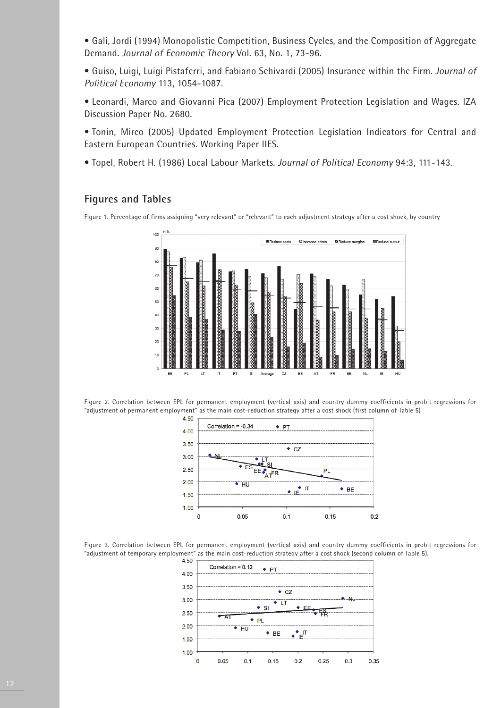• Gali, Jordi (1994) Monopolistic Competition, Business Cycles, and the Composition of Aggregate Demand. Journal of Economic Theory Vol. 63, No. 1, 73-96.

• Guiso, Luigi, Luigi Pistaferri, and Fabiano Schivardi (2005) Insurance within the Firm. Journal of Political Economy 113, 1054-1087.

• Leonardi, Marco and Giovanni Pica (2007) Employment Protection Legislation and Wages. IZA Discussion Paper No. 2680.

• Tonin, Mirco (2005) Updated Employment Protection Legislation Indicators for Central and Eastern European Countries. Working Paper IIES.

• Topel, Robert H. (1986) Local Labour Markets. Journal of Political Economy 94:3, 111-143.

## **Figures and Tables**

Figure 1. Percentage of firms assigning "very relevant" or "relevant" to each adjustment strategy after a cost shock, by country



Figure 2. Correlation between EPL for permanent employment (vertical axis) and country dummy coefficients in probit regressions for "adjustment of permanent employment" as the main cost-reduction strategy after a cost shock (first column of Table 5)



Figure 3. Correlation between EPL for permanent employment (vertical axis) and country dummy coefficients in probit regressions for "adjustment of temporary employment" as the main cost-reduction strategy after a cost shock (second column of Table 5).

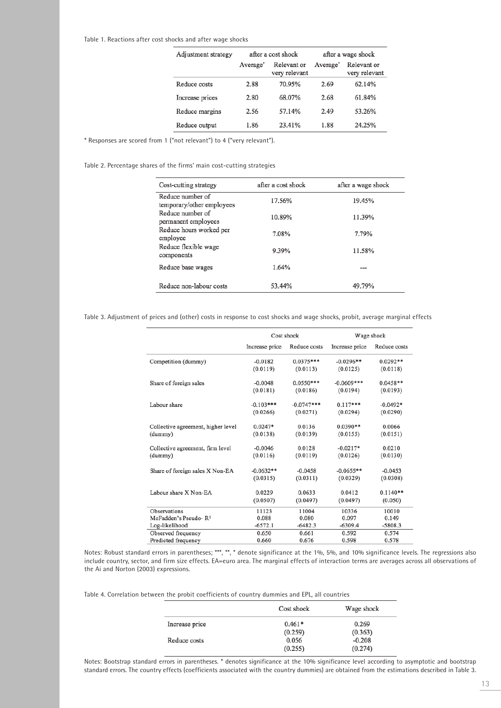Table 1. Reactions after cost shocks and after wage shocks

| Adjustment strategy | after a cost shock   |                                                      | after a wage shock |                              |  |
|---------------------|----------------------|------------------------------------------------------|--------------------|------------------------------|--|
|                     | Average <sup>*</sup> | Relevant or<br>Average <sup>*</sup><br>very relevant |                    | Relevant or<br>very relevant |  |
| Reduce costs        | 2.88                 | 70.95%                                               | 2.69               | 62.14%                       |  |
| Increase prices     | 2.80                 | 68.07%                                               | 2.68               | 61.84%                       |  |
| Reduce margins      | 2.56                 | 57.14%                                               | 2.49               | 53.26%                       |  |
| Reduce output       | 1.86                 | 23.41%                                               | 1.88               | 24.25%                       |  |

\* Responses are scored from 1 ("not relevant") to 4 ("very relevant").

Table 2. Percentage shares of the firms' main cost-cutting strategies

| Cost-cutting strategy                         | after a cost shock | after a wage shock |
|-----------------------------------------------|--------------------|--------------------|
| Reduce number of<br>temporary/other employees | 17.56%             | 19.45%             |
| Reduce number of<br>permanent employees       | 10.89%             | 11.39%             |
| Reduce hours worked per<br>employee           | 7.08%              | 7.79%              |
| Reduce flexible wage<br>components            | 9.39%              | 11.58%             |
| Reduce base wages                             | 1.64%              | ---                |
| Reduce non-labour costs                       | 53.44%             | 49.79%             |

Table 3. Adjustment of prices and (other) costs in response to cost shocks and wage shocks, probit, average marginal effects

|                                    |                | Cost shock   | Wage shock     |              |  |  |
|------------------------------------|----------------|--------------|----------------|--------------|--|--|
|                                    | Increase price | Reduce costs | Increase price | Reduce costs |  |  |
| Competition (dummy)                | $-0.0182$      | $0.0375***$  | $-0.0296**$    | $0.0292**$   |  |  |
|                                    | (0.0119)       | (0.0113)     | (0.0125)       | (0.0118)     |  |  |
| Share of foreign sales             | $-0.0048$      | $0.0550***$  | $-0.0609$ ***  | $0.0458**$   |  |  |
|                                    | (0.0181)       | (0.0186)     | (0.0194)       | (0.0193)     |  |  |
| Labour share                       | $-0.103***$    | $-0.0747***$ | $0.117***$     | $-0.0492*$   |  |  |
|                                    | (0.0266)       | (0.0271)     | (0.0294)       | (0.0290)     |  |  |
| Collective agreement, higher level | $0.0247*$      | 0.0136       | $0.0390**$     | 0.0066       |  |  |
| (dummy)                            | (0.0138)       | (0.0139)     | (0.0155)       | (0.0151)     |  |  |
| Collective agreement, firm level   | $-0.0046$      | 0.0128       | $-0.0217*$     | 0.0210       |  |  |
| (dummy)                            | (0.0116)       | (0.0119)     | (0.0126)       | (0.0130)     |  |  |
| Share of foreign sales X Non-EA    | $-0.0632**$    | $-0.0458$    | $-0.0655**$    | $-0.0453$    |  |  |
|                                    | (0.0315)       | (0.0311)     | (0.0329)       | (0.0308)     |  |  |
| Labour share X Non-EA              | 0.0229         | 0.0633       | 0.0412         | $0.1140**$   |  |  |
|                                    | (0.0507)       | (0.0497)     | (0.0497)       | (0.050)      |  |  |
| Observations                       | 11123          | 11004        | 10336          | 10010        |  |  |
| McFadden's Pseudo-R <sup>2</sup>   | 0.088          | 0.080        | 0.097          | 0.149        |  |  |
| Log-likelihood                     | $-6572.1$      | $-6482.3$    | $-6309.4$      | $-5808.3$    |  |  |
| Observed frequency                 | 0.650          | 0.661        | 0.592          | 0.574        |  |  |
| Predicted frequency                | 0.660          | 0.676        | 0.598          | 0.578        |  |  |

Notes: Robust standard errors in parentheses; \*\*\*, \*\* denote significance at the 1%, 5%, and 10% significance levels. The regressions also include country, sector, and firm size effects. EA=euro area. The marginal effects of interaction terms are averages across all observations of the Ai and Norton (2003) expressions.

Table 4. Correlation between the probit coefficients of country dummies and EPL, all countries

|                | Cost shock | Wage shock |
|----------------|------------|------------|
| Increase price | $0.461*$   | 0.269      |
|                | (0.259)    | (0.363)    |
| Reduce costs   | 0.056      | $-0.208$   |
|                | (0.255)    | (0.274)    |

Notes: Bootstrap standard errors in parentheses. \* denotes significance at the 10% significance level according to asymptotic and bootstrap standard errors. The country effects (coefficients associated with the country dummies) are obtained from the estimations described in Table 3.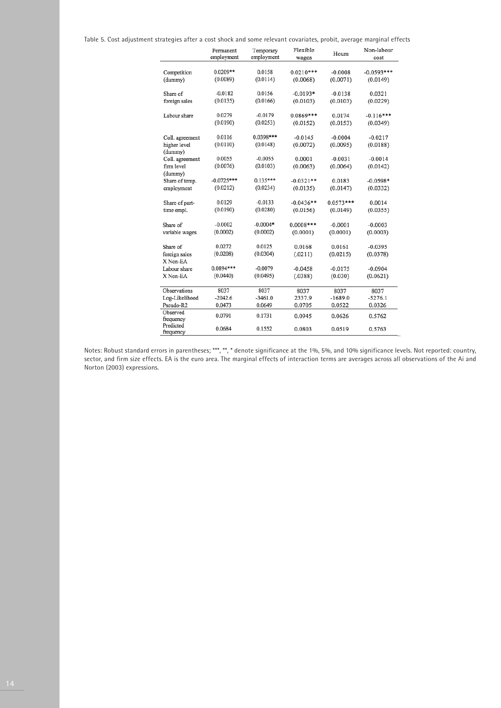Table 5. Cost adjustment strategies after a cost shock and some relevant covariates, probit, average marginal effects

|                            | Permanent<br>employment | Temporary<br>employment | Flexible<br>wages | Hours       | Non-labour<br>cost |
|----------------------------|-------------------------|-------------------------|-------------------|-------------|--------------------|
| Competition                | $0.0209**$              | 0.0158                  | $0.0210***$       | $-0.0008$   | $-0.0593***$       |
| (dummy)                    | (0.0089)                | (0.0114)                | (0.0068)          | (0.0071)    | (0.0149)           |
| Share of                   | $-0.0182$               | 0.0156                  | $-0.0193*$        | $-0.0138$   | 0.0321             |
| foreign sales              | (0.0135)                | (0.0166)                | (0.0103)          | (0.0103)    | (0.0229)           |
|                            |                         |                         |                   |             |                    |
| Labour share               | 0.0279                  | $-0.0179$               | $0.0869***$       | 0.0174      | $-0.116***$        |
|                            | (0.0190)                | (0.0253)                | (0.0152)          | (0.0153)    | (0.0349)           |
| Coll. agreement            | 0.0116                  | $0.0398***$             | $-0.0145$         | $-0.0004$   | $-0.0217$          |
| higher level               | (0.0110)                | (0.0148)                | (0.0072)          | (0.0095)    | (0.0188)           |
| (dummy)<br>Coll. agreement | 0.0055                  | $-0.0055$               | 0.0001            | $-0.0031$   | $-0.0014$          |
| firm level                 | (0.0076)                | (0.0103)                | (0.0063)          | (0.0064)    | (0.0142)           |
| (dummy)                    |                         |                         |                   |             |                    |
| Share of temp.             | $-0.0725***$            | $0.135***$              | $-0.0321**$       | 0.0183      | $-0.0598*$         |
| employment                 | (0.0212)                | (0.0234)                | (0.0135)          | (0.0147)    | (0.0332)           |
| Share of part-             | 0.0129                  | $-0.0133$               | $-0.0436**$       | $0.0573***$ | 0.0014             |
| time empl.                 | (0.0190)                | (0.0280)                | (0.0156)          | (0.0149)    | (0.0355)           |
|                            |                         |                         |                   |             |                    |
| Share of                   | $-0.0002$               | $-0.0004*$              | $0.0008***$       | $-0.0001$   | $-0.0003$          |
| variable wages             | (0.0002)                | (0.0002)                | (0.0001)          | (0.0001)    | (0.0003)           |
| Share of                   | 0.0272                  | 0.0125                  | 0.0168            | 0.0161      | $-0.0395$          |
| foreign sales              | (0.0208)                | (0.0304)                | (.0211)           | (0.0215)    | (0.0378)           |
| X Non-EA                   |                         |                         |                   |             |                    |
| Labour share               | $0.0894***$             | $-0.0079$               | $-0.0458$         | $-0.0175$   | $-0.0904$          |
| X Non-EA                   | (0.0440)                | (0.0495)                | (.0388)           | (0.030)     | (0.0621)           |
| Observations               | 8037                    | 8037                    | 8037              | 8037        | 8037               |
| Log-Likelihood             | $-2042.6$               | $-3461.0$               | 2337.9            | $-1689.0$   | $-5276.1$          |
| Pseudo-R <sub>2</sub>      | 0.0473                  | 0.0649                  | 0.0705            | 0.0522      | 0.0326             |
| Observed                   |                         |                         |                   |             |                    |
| frequency                  | 0.0791                  | 0.1731                  | 0.0945            | 0.0626      | 0.5762             |
| Predicted<br>frequency     | 0.0684                  | 0.1552                  | 0.0803            | 0.0519      | 0.5763             |

Notes: Robust standard errors in parentheses; \*\*\*, \*\*, \* denote significance at the 1%, 5%, and 10% significance levels. Not reported: country, sector, and firm size effects. EA is the euro area. The marginal effects of interaction terms are averages across all observations of the Ai and Norton (2003) expressions.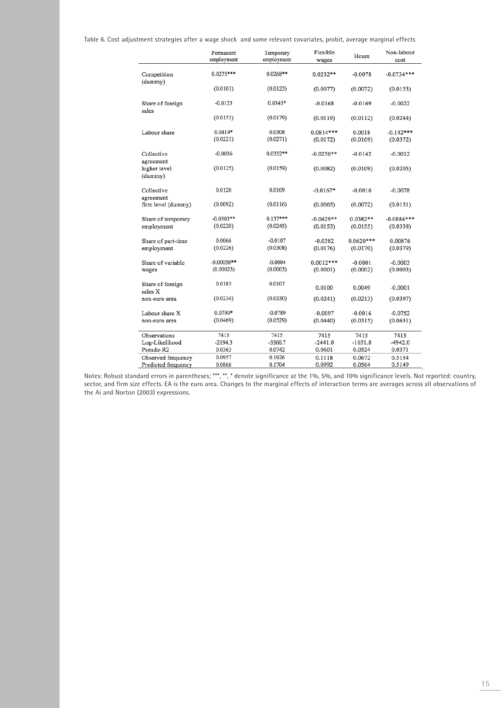Table 6. Cost adjustment strategies after a wage shock and some relevant covariates, probit, average marginal effects

|                                           | Permanent<br>employment   | Temporary<br>employment | Flexible<br>wages       | Hours                   | Non-labour<br>cost      |
|-------------------------------------------|---------------------------|-------------------------|-------------------------|-------------------------|-------------------------|
| Competition<br>(dummy)                    | $0.0275***$               | $0.0268**$              | $0.0232**$              | $-0.0078$               | $-0.0734***$            |
|                                           | (0.0101)                  | (0.0125)                | (0.0077)                | (0.0072)                | (0.0153)                |
| Share of foreign<br>sales                 | $-0.0123$                 | $0.0345*$               | $-0.0168$               | $-0.0169$               | $-0.0022$               |
|                                           | (0.0151)                  | (0.0179)                | (0.0119)                | (0.0112)                | (0.0244)                |
| Labour share                              | $0.0419*$<br>(0.0221)     | 0.0308<br>(0.0271)      | $0.0814***$<br>(0.0172) | 0.0018<br>(0.0169)      | $-0.142***$<br>(0.0372) |
| Collective                                | $-0.0036$                 | $0.0352**$              | $-0.0250**$             | $-0.0142$               | $-0.0012$               |
| agreement<br>higher level<br>(dummy)      | (0.0125)                  | (0.0159)                | (0.0082)                | (0.0109)                | (0.0205)                |
| Collective<br>agreement                   | 0.0120                    | 0.0109                  | $-0.0167*$              | $-0.0016$               | $-0.0078$               |
| firm level (dummy)                        | (0.0092)                  | (0.0116)                | (0.0065)                | (0.0072)                | (0.0151)                |
| Share of temporary                        | $-0.0503**$               | $0.137***$              | $-0.0429**$             | $0.0382**$              | $-0.0884***$            |
| employment                                | (0.0220)                  | (0.0245)                | (0.0153)                | (0.0155)                | (0.0338)                |
| Share of part-time<br>employment          | 0.0066<br>(0.0226)        | $-0.0107$<br>(0.0308)   | $-0.0382$<br>(0.0176)   | $0.0620***$<br>(0.0170) | 0.00876<br>(0.0379)     |
|                                           |                           |                         |                         |                         |                         |
| Share of variable<br>wages                | $-0.00058**$<br>(0.00023) | $-0.0004$<br>(0.0003)   | $0.0012***$<br>(0.0001) | $-0.0001$<br>(0.0002)   | $-0.0003$<br>(0.0003)   |
| Share of foreign<br>sales X               | 0.0183                    | 0.0107                  | 0.0100                  | 0.0049                  | $-0.0001$               |
| non-euro area                             | (0.0234)                  | (0.0330)                | (0.0241)                | (0.0213)                | (0.0397)                |
| Labour share X<br>non-euro area           | $0.0790*$<br>(0.0469)     | $-0.0789$<br>(0.0529)   | $-0.0097$<br>(0.0440)   | $-0.0016$<br>(0.0315)   | $-0.0752$<br>(0.0631)   |
| Observations                              | 7415                      | 7415                    | 7415                    | 7415                    | 7415                    |
| Log-Likelihood<br>Pseudo-R2               | $-2194.3$<br>0.0363       | $-3360.7$<br>0.0742     | $-2441.0$<br>0.0601     | $-1651.8$<br>0.0524     | $-4942.0$<br>0.0371     |
| Observed frequency<br>Predicted frequency | 0.0957<br>0.0866          | 0.1926<br>0.1704        | 0.1118<br>0.0992        | 0.0672<br>0.0564        | 0.5154<br>0.5149        |

Notes: Robust standard errors in parentheses; \*\*\*, \*\*, \* denote significance at the 1%, 5%, and 10% significance levels. Not reported: country, sector, and firm size effects. EA is the euro area. Changes to the marginal effects of interaction terms are averages across all observations of the Ai and Norton (2003) expressions.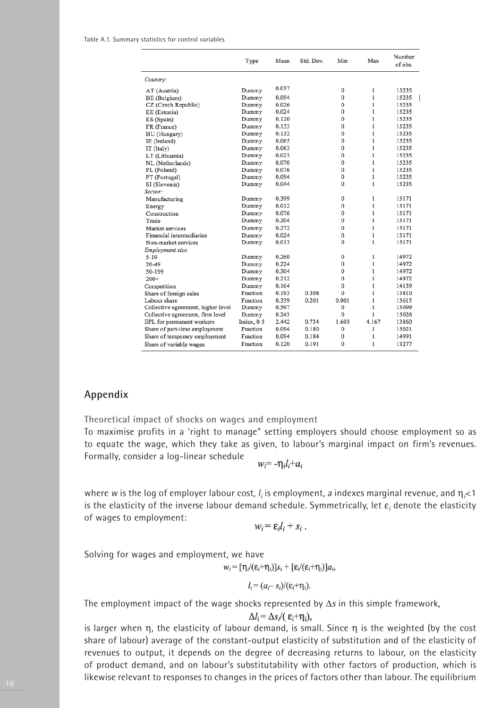|                                    | Type         | Mean  | Std. Dev. | Min          | Max          | Number<br>of obs. |
|------------------------------------|--------------|-------|-----------|--------------|--------------|-------------------|
| Country:                           |              |       |           |              |              |                   |
| AT (Austria)                       | Dummy        | 0.037 |           | 0            | 1            | 15235             |
| BE (Belgium)                       | Dummy        | 0.094 |           | 0            | 1            | 15235             |
| CZ (Czech Republic)                | Dummy        | 0.026 |           | $\bf{0}$     | 1            | 15235             |
| EE (Estonia)                       | Dummy        | 0.024 |           | $\bf{0}$     | $\mathbf{1}$ | 15235             |
| ES (Spain)                         | Dummy        | 0.120 |           | 0            | 1            | 15235             |
| FR (France)                        | Dummy        | 0.133 |           | 0            | 1            | 15235             |
| HU (Hungary)                       | Dummy        | 0.132 |           | $\bf{0}$     | 1            | 15235             |
| IE (Ireland)                       | Dummy        | 0.065 |           | $\bf{0}$     | 1            | 15235             |
| IT (Italy)                         | Dummy        | 0.063 |           | 0            | $\mathbf{1}$ | 15235             |
| LT (Lithuania)                     | Dummy        | 0.023 |           | $\bf{0}$     | $\mathbf{1}$ | 15235             |
| NL (Netherlands)                   | Dummy        | 0.070 |           | 0            | $\mathbf{1}$ | 15235             |
| PL (Poland)                        | Dummy        | 0.076 |           | 0            | 1            | 15235             |
| PT (Portugal)                      | Dummy        | 0.094 |           | $\mathbf{0}$ | 1            | 15235             |
| SI (Slovenia)                      | Dummy        | 0.044 |           | $\mathbf{0}$ | 1            | 15235             |
| Sector:                            |              |       |           |              |              |                   |
| Manufacturing                      | Dummy        | 0.399 |           | 0            | 1            | 15171             |
| Energy                             | Dummy        | 0.012 |           | 0            | 1            | 15171             |
| Construction                       | Dummy        | 0.076 |           | 0            | 1            | 15171             |
| Trade                              | Dummy        | 0.204 |           | 0            | $\mathbf{1}$ | 15171             |
| Market services                    | Dummy        | 0.272 |           | $\bf{0}$     | $\mathbf{1}$ | 15171             |
| Financial intermediaries           | Dummy        | 0.024 |           | 0            | $\mathbf{1}$ | 15171             |
| Non-market services                | Dummy        | 0.013 |           | $\Omega$     | 1            | 15171             |
| Employment size:                   |              |       |           |              |              |                   |
| $5 - 19$                           | Dummy        | 0.260 |           | 0            | 1            | 14972             |
| 20-49                              | Dummy        | 0.224 |           | $\bf{0}$     | $\mathbf{1}$ | 14972             |
| 50-199                             | Dummy        | 0.304 |           | $\bf{0}$     | 1            | 14972             |
| $200+$                             | Dummy        | 0.212 |           | $\theta$     | 1            | 14972             |
| Competition                        | Dummy        | 0.164 |           | $\bf{0}$     | 1            | 14139             |
| Share of foreign sales             | Fraction     | 0.193 | 0.308     | 0            | $\mathbf{1}$ | 13810             |
| Labour share                       | Fraction     | 0.339 | 0.201     | 0.001        | $\mathbf{1}$ | 13615             |
| Collective agreement, higher level | Dummy        | 0.597 |           | $\mathbf{0}$ | 1            | 15099             |
| Collective agreement, firm level   | Dummy        | 0.243 |           | $\theta$     | 1            | 15026             |
| EPL for permanent workers          | Index, $0-5$ | 2.442 | 0.734     | 1.603        | 4.167        | 13860             |
| Share of part-time employment      | Fraction     | 0.094 | 0.180     | $\Omega$     | 1            | 15021             |
| Share of temporary employment      | Fraction     | 0.094 | 0.184     | 0            | 1            | 14991             |
| Share of variable wages            | Fraction     | 0.120 | 0.191     | $\bf{0}$     | 1            | 13277             |

## **Appendix**

**Theoretical impact of shocks on wages and employment**

To maximise profits in a 'right to manage" setting employers should choose employment so as to equate the wage, which they take as given, to labour's marginal impact on firm's revenues. Formally, consider a log-linear schedule

$$
w_i = -\eta_i l_i + a_i
$$

where w is the log of employer labour cost,  $l_i$  is employment, a indexes marginal revenue, and  $\eta_i$ <1 is the elasticity of the inverse labour demand schedule. Symmetrically, let  $\varepsilon_i$  denote the elasticity of wages to employment:

$$
w_i = \varepsilon_i l_i + s_i \; .
$$

Solving for wages and employment, we have

$$
w_i = [\eta_i/(\varepsilon_i + \eta_i)]s_i + [\varepsilon_i/(\varepsilon_i + \eta_i)]a_i,
$$

$$
l_i = (a_i - s_i) / (\varepsilon_i + \eta_i)
$$

The employment impact of the wage shocks represented by  $\Delta s$  in this simple framework,

$$
\Delta l_{\rm i} = \Delta s_{\rm i} / (\varepsilon_{\rm i} + \eta_{\rm i}),
$$

is larger when  $\eta$ , the elasticity of labour demand, is small. Since  $\eta$  is the weighted (by the cost share of labour) average of the constant-output elasticity of substitution and of the elasticity of revenues to output, it depends on the degree of decreasing returns to labour, on the elasticity of product demand, and on labour's substitutability with other factors of production, which is likewise relevant to responses to changes in the prices of factors other than labour. The equilibrium